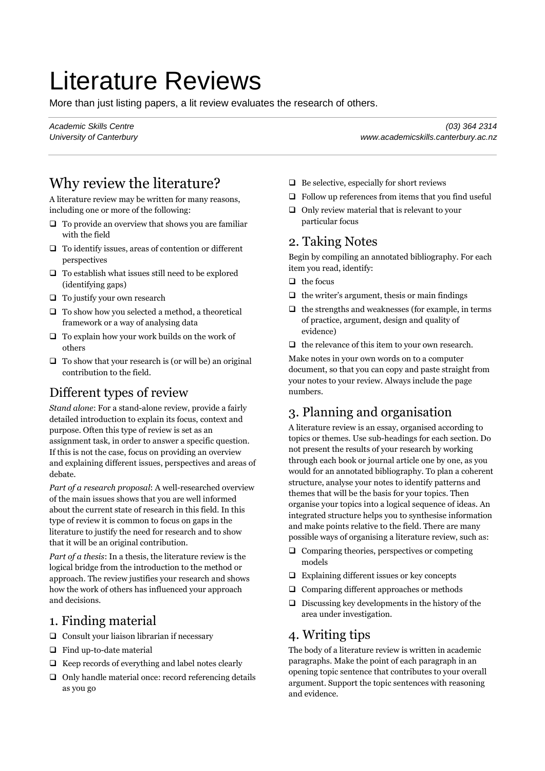# Literature Reviews

More than just listing papers, a lit review evaluates the research of others.

Why review the literature?

A literature review may be written for many reasons, including one or more of the following:

- $\Box$  To provide an overview that shows you are familiar with the field
- $\Box$  To identify issues, areas of contention or different perspectives
- $\Box$  To establish what issues still need to be explored (identifying gaps)
- $\Box$  To justify your own research
- $\Box$  To show how you selected a method, a theoretical framework or a way of analysing data
- $\Box$  To explain how your work builds on the work of others
- $\Box$  To show that your research is (or will be) an original contribution to the field.

# Different types of review

*Stand alone*: For a stand-alone review, provide a fairly detailed introduction to explain its focus, context and purpose. Often this type of review is set as an assignment task, in order to answer a specific question. If this is not the case, focus on providing an overview and explaining different issues, perspectives and areas of debate.

*Part of a research proposal*: A well-researched overview of the main issues shows that you are well informed about the current state of research in this field. In this type of review it is common to focus on gaps in the literature to justify the need for research and to show that it will be an original contribution.

*Part of a thesis*: In a thesis, the literature review is the logical bridge from the introduction to the method or approach. The review justifies your research and shows how the work of others has influenced your approach and decisions.

## 1. Finding material

- $\Box$  Consult your liaison librarian if necessary
- $\Box$  Find up-to-date material
- $\Box$  Keep records of everything and label notes clearly
- $\Box$  Only handle material once: record referencing details as you go

*Academic Skills Centre (03) 364 2314 University of Canterbury www.academicskills.canterbury.ac.nz*

- $\Box$  Be selective, especially for short reviews
- $\Box$  Follow up references from items that you find useful
- $\Box$  Only review material that is relevant to your particular focus

#### 2. Taking Notes

Begin by compiling an annotated bibliography. For each item you read, identify:

- $\Box$  the focus
- $\Box$  the writer's argument, thesis or main findings
- $\Box$  the strengths and weaknesses (for example, in terms of practice, argument, design and quality of evidence)
- $\Box$  the relevance of this item to your own research.

Make notes in your own words on to a computer document, so that you can copy and paste straight from your notes to your review. Always include the page numbers.

# 3. Planning and organisation

A literature review is an essay, organised according to topics or themes. Use sub-headings for each section. Do not present the results of your research by working through each book or journal article one by one, as you would for an annotated bibliography. To plan a coherent structure, analyse your notes to identify patterns and themes that will be the basis for your topics. Then organise your topics into a logical sequence of ideas. An integrated structure helps you to synthesise information and make points relative to the field. There are many possible ways of organising a literature review, such as:

- $\Box$  Comparing theories, perspectives or competing models
- $\Box$  Explaining different issues or key concepts
- $\Box$  Comparing different approaches or methods
- $\Box$  Discussing key developments in the history of the area under investigation.

#### 4. Writing tips

The body of a literature review is written in academic paragraphs. Make the point of each paragraph in an opening topic sentence that contributes to your overall argument. Support the topic sentences with reasoning and evidence.